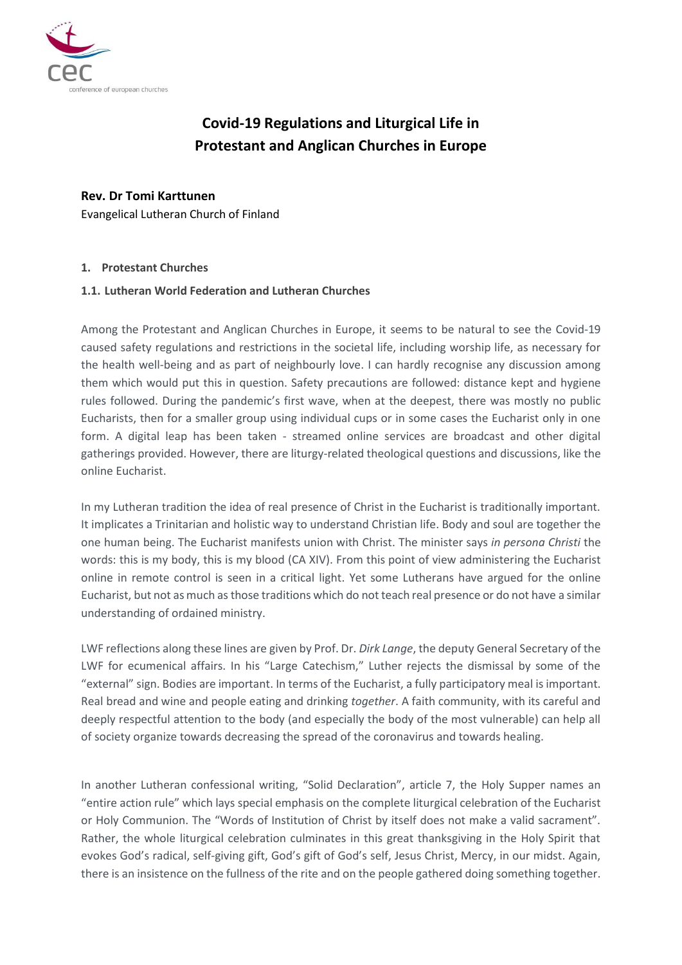

# **Covid-19 Regulations and Liturgical Life in Protestant and Anglican Churches in Europe**

# **Rev. Dr Tomi Karttunen**

Evangelical Lutheran Church of Finland

## **1. Protestant Churches**

#### **1.1. Lutheran World Federation and Lutheran Churches**

Among the Protestant and Anglican Churches in Europe, it seems to be natural to see the Covid-19 caused safety regulations and restrictions in the societal life, including worship life, as necessary for the health well-being and as part of neighbourly love. I can hardly recognise any discussion among them which would put this in question. Safety precautions are followed: distance kept and hygiene rules followed. During the pandemic's first wave, when at the deepest, there was mostly no public Eucharists, then for a smaller group using individual cups or in some cases the Eucharist only in one form. A digital leap has been taken - streamed online services are broadcast and other digital gatherings provided. However, there are liturgy-related theological questions and discussions, like the online Eucharist.

In my Lutheran tradition the idea of real presence of Christ in the Eucharist is traditionally important. It implicates a Trinitarian and holistic way to understand Christian life. Body and soul are together the one human being. The Eucharist manifests union with Christ. The minister says *in persona Christi* the words: this is my body, this is my blood (CA XIV). From this point of view administering the Eucharist online in remote control is seen in a critical light. Yet some Lutherans have argued for the online Eucharist, but not as much as those traditions which do not teach real presence or do not have a similar understanding of ordained ministry.

LWF reflections along these lines are given by Prof. Dr. *Dirk Lange*, the deputy General Secretary of the LWF for ecumenical affairs. In his "Large Catechism," Luther rejects the dismissal by some of the "external" sign. Bodies are important. In terms of the Eucharist, a fully participatory meal is important. Real bread and wine and people eating and drinking *together*. A faith community, with its careful and deeply respectful attention to the body (and especially the body of the most vulnerable) can help all of society organize towards decreasing the spread of the coronavirus and towards healing.

In another Lutheran confessional writing, "Solid Declaration", article 7, the Holy Supper names an "entire action rule" which lays special emphasis on the complete liturgical celebration of the Eucharist or Holy Communion. The "Words of Institution of Christ by itself does not make a valid sacrament". Rather, the whole liturgical celebration culminates in this great thanksgiving in the Holy Spirit that evokes God's radical, self-giving gift, God's gift of God's self, Jesus Christ, Mercy, in our midst. Again, there is an insistence on the fullness of the rite and on the people gathered doing something together.